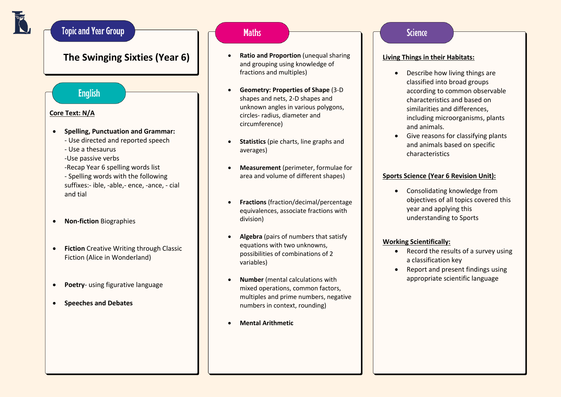## **Topic and Year Group**

## **The Swinging Sixties (Year 6)**

### **English**

### **Core Text: N/A**

- **Spelling, Punctuation and Grammar:**
	- Use directed and reported speech
	- Use a thesaurus
	- -Use passive verbs
	- -Recap Year 6 spelling words list
	- Spelling words with the following suffixes:- ible, -able,- ence, -ance, - cial and tial
- **Non-fiction** Biographies
- **Fiction** Creative Writing through Classic Fiction (Alice in Wonderland)
- **Poetry** using figurative language
- **Speeches and Debates**

### **Maths**

- **Ratio and Proportion** (unequal sharing and grouping using knowledge of fractions and multiples)
- **Geometry: Properties of Shape** (3-D shapes and nets, 2-D shapes and unknown angles in various polygons, circles- radius, diameter and circumference)
- **Statistics** (pie charts, line graphs and averages)
- **Measurement** (perimeter, formulae for area and volume of different shapes)
- **Fractions** (fraction/decimal/percentage equivalences, associate fractions with division)
- **Algebra** (pairs of numbers that satisfy equations with two unknowns, possibilities of combinations of 2 variables)
- **Number** (mental calculations with mixed operations, common factors, multiples and prime numbers, negative numbers in context, rounding)
- **Mental Arithmetic**

### **Science**

### **Living Things in their Habitats:**

- Describe how living things are classified into broad groups according to common observable characteristics and based on similarities and differences, including microorganisms, plants and animals.
- Give reasons for classifying plants and animals based on specific characteristics

### **Sports Science (Year 6 Revision Unit):**

• Consolidating knowledge from objectives of all topics covered this year and applying this understanding to Sports

### **Working Scientifically:**

- Record the results of a survey using a classification key
- Report and present findings using appropriate scientific language